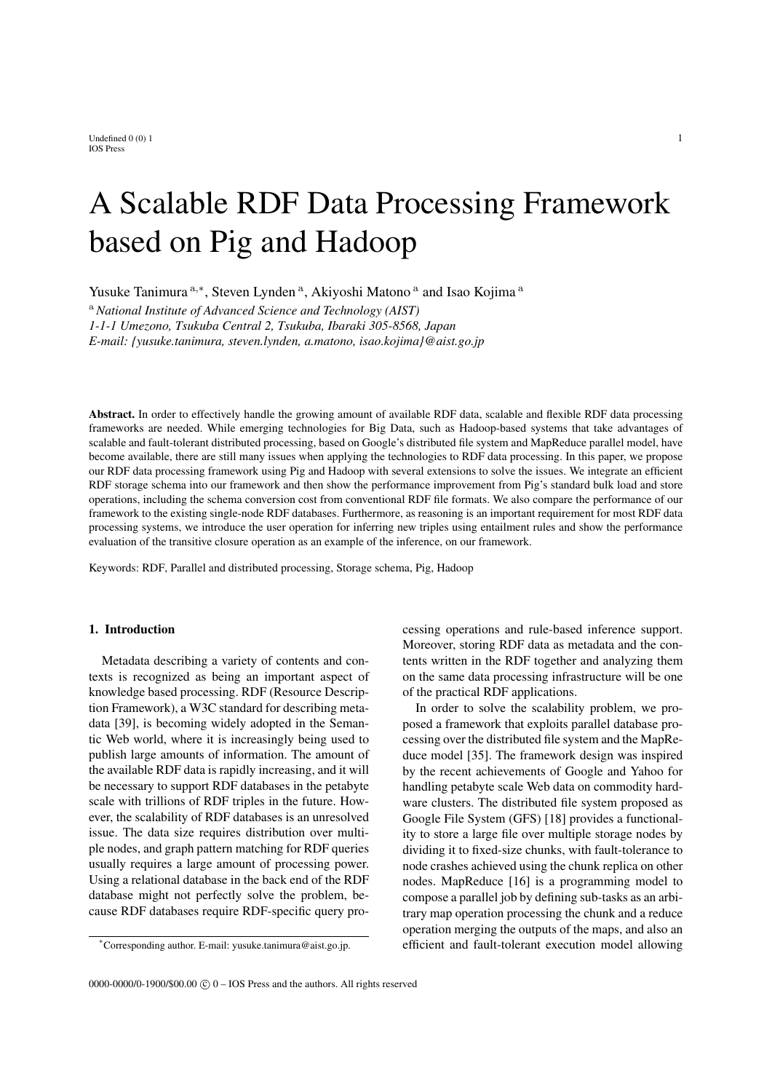Undefined  $0\ (0)$  1 1 IOS Press

# A Scalable RDF Data Processing Framework based on Pig and Hadoop

Yusuke Tanimura <sup>a,∗</sup>, Steven Lynden<sup>a</sup>, Akiyoshi Matono<sup>a</sup> and Isao Kojima<sup>a</sup>

<sup>a</sup> *National Institute of Advanced Science and Technology (AIST) 1-1-1 Umezono, Tsukuba Central 2, Tsukuba, Ibaraki 305-8568, Japan E-mail: {yusuke.tanimura, steven.lynden, a.matono, isao.kojima}@aist.go.jp*

Abstract. In order to effectively handle the growing amount of available RDF data, scalable and flexible RDF data processing frameworks are needed. While emerging technologies for Big Data, such as Hadoop-based systems that take advantages of scalable and fault-tolerant distributed processing, based on Google's distributed file system and MapReduce parallel model, have become available, there are still many issues when applying the technologies to RDF data processing. In this paper, we propose our RDF data processing framework using Pig and Hadoop with several extensions to solve the issues. We integrate an efficient RDF storage schema into our framework and then show the performance improvement from Pig's standard bulk load and store operations, including the schema conversion cost from conventional RDF file formats. We also compare the performance of our framework to the existing single-node RDF databases. Furthermore, as reasoning is an important requirement for most RDF data processing systems, we introduce the user operation for inferring new triples using entailment rules and show the performance evaluation of the transitive closure operation as an example of the inference, on our framework.

Keywords: RDF, Parallel and distributed processing, Storage schema, Pig, Hadoop

# 1. Introduction

Metadata describing a variety of contents and contexts is recognized as being an important aspect of knowledge based processing. RDF (Resource Description Framework), a W3C standard for describing metadata [39], is becoming widely adopted in the Semantic Web world, where it is increasingly being used to publish large amounts of information. The amount of the available RDF data is rapidly increasing, and it will be necessary to support RDF databases in the petabyte scale with trillions of RDF triples in the future. However, the scalability of RDF databases is an unresolved issue. The data size requires distribution over multiple nodes, and graph pattern matching for RDF queries usually requires a large amount of processing power. Using a relational database in the back end of the RDF database might not perfectly solve the problem, because RDF databases require RDF-specific query processing operations and rule-based inference support. Moreover, storing RDF data as metadata and the contents written in the RDF together and analyzing them on the same data processing infrastructure will be one of the practical RDF applications.

In order to solve the scalability problem, we proposed a framework that exploits parallel database processing over the distributed file system and the MapReduce model [35]. The framework design was inspired by the recent achievements of Google and Yahoo for handling petabyte scale Web data on commodity hardware clusters. The distributed file system proposed as Google File System (GFS) [18] provides a functionality to store a large file over multiple storage nodes by dividing it to fixed-size chunks, with fault-tolerance to node crashes achieved using the chunk replica on other nodes. MapReduce [16] is a programming model to compose a parallel job by defining sub-tasks as an arbitrary map operation processing the chunk and a reduce operation merging the outputs of the maps, and also an efficient and fault-tolerant execution model allowing

<sup>\*</sup>Corresponding author. E-mail: yusuke.tanimura@aist.go.jp.

<sup>0000-0000/0-1900/\$00.00</sup>  $\odot$  0 – IOS Press and the authors. All rights reserved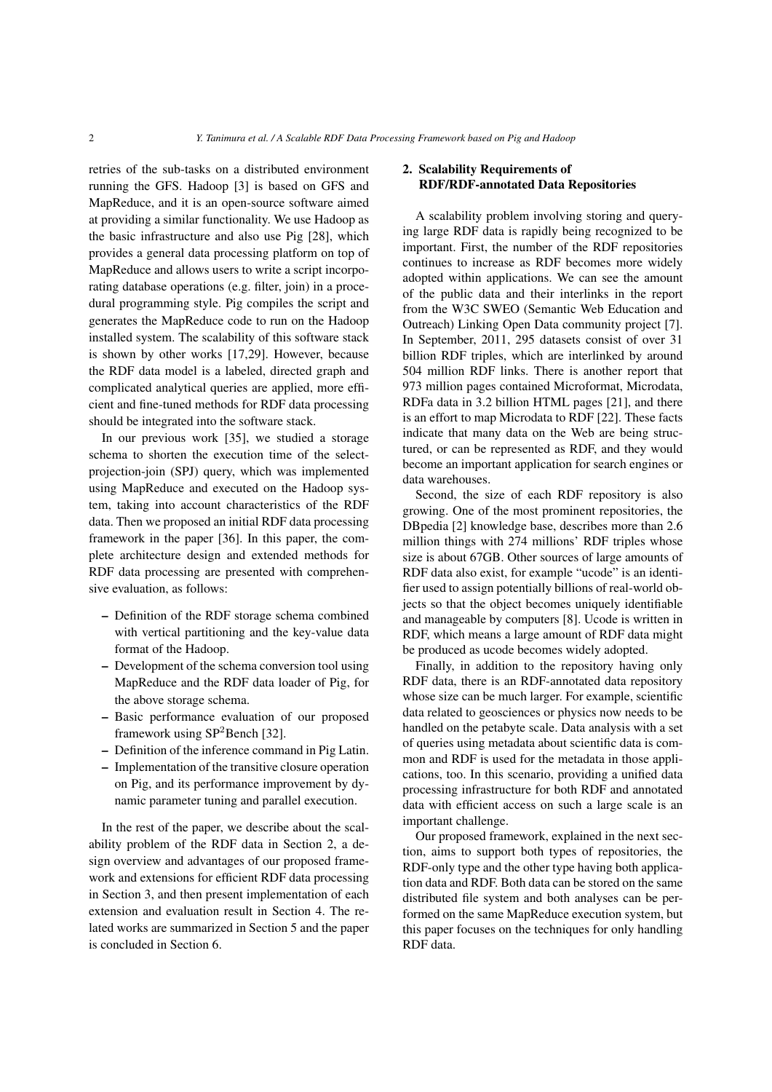retries of the sub-tasks on a distributed environment running the GFS. Hadoop [3] is based on GFS and MapReduce, and it is an open-source software aimed at providing a similar functionality. We use Hadoop as the basic infrastructure and also use Pig [28], which provides a general data processing platform on top of MapReduce and allows users to write a script incorporating database operations (e.g. filter, join) in a procedural programming style. Pig compiles the script and generates the MapReduce code to run on the Hadoop installed system. The scalability of this software stack is shown by other works [17,29]. However, because the RDF data model is a labeled, directed graph and complicated analytical queries are applied, more efficient and fine-tuned methods for RDF data processing should be integrated into the software stack.

In our previous work [35], we studied a storage schema to shorten the execution time of the selectprojection-join (SPJ) query, which was implemented using MapReduce and executed on the Hadoop system, taking into account characteristics of the RDF data. Then we proposed an initial RDF data processing framework in the paper [36]. In this paper, the complete architecture design and extended methods for RDF data processing are presented with comprehensive evaluation, as follows:

- Definition of the RDF storage schema combined with vertical partitioning and the key-value data format of the Hadoop.
- Development of the schema conversion tool using MapReduce and the RDF data loader of Pig, for the above storage schema.
- Basic performance evaluation of our proposed framework using  $SP<sup>2</sup>$ Bench [32].
- Definition of the inference command in Pig Latin.
- Implementation of the transitive closure operation on Pig, and its performance improvement by dynamic parameter tuning and parallel execution.

In the rest of the paper, we describe about the scalability problem of the RDF data in Section 2, a design overview and advantages of our proposed framework and extensions for efficient RDF data processing in Section 3, and then present implementation of each extension and evaluation result in Section 4. The related works are summarized in Section 5 and the paper is concluded in Section 6.

# 2. Scalability Requirements of RDF/RDF-annotated Data Repositories

A scalability problem involving storing and querying large RDF data is rapidly being recognized to be important. First, the number of the RDF repositories continues to increase as RDF becomes more widely adopted within applications. We can see the amount of the public data and their interlinks in the report from the W3C SWEO (Semantic Web Education and Outreach) Linking Open Data community project [7]. In September, 2011, 295 datasets consist of over 31 billion RDF triples, which are interlinked by around 504 million RDF links. There is another report that 973 million pages contained Microformat, Microdata, RDFa data in 3.2 billion HTML pages [21], and there is an effort to map Microdata to RDF [22]. These facts indicate that many data on the Web are being structured, or can be represented as RDF, and they would become an important application for search engines or data warehouses.

Second, the size of each RDF repository is also growing. One of the most prominent repositories, the DBpedia [2] knowledge base, describes more than 2.6 million things with 274 millions' RDF triples whose size is about 67GB. Other sources of large amounts of RDF data also exist, for example "ucode" is an identifier used to assign potentially billions of real-world objects so that the object becomes uniquely identifiable and manageable by computers [8]. Ucode is written in RDF, which means a large amount of RDF data might be produced as ucode becomes widely adopted.

Finally, in addition to the repository having only RDF data, there is an RDF-annotated data repository whose size can be much larger. For example, scientific data related to geosciences or physics now needs to be handled on the petabyte scale. Data analysis with a set of queries using metadata about scientific data is common and RDF is used for the metadata in those applications, too. In this scenario, providing a unified data processing infrastructure for both RDF and annotated data with efficient access on such a large scale is an important challenge.

Our proposed framework, explained in the next section, aims to support both types of repositories, the RDF-only type and the other type having both application data and RDF. Both data can be stored on the same distributed file system and both analyses can be performed on the same MapReduce execution system, but this paper focuses on the techniques for only handling RDF data.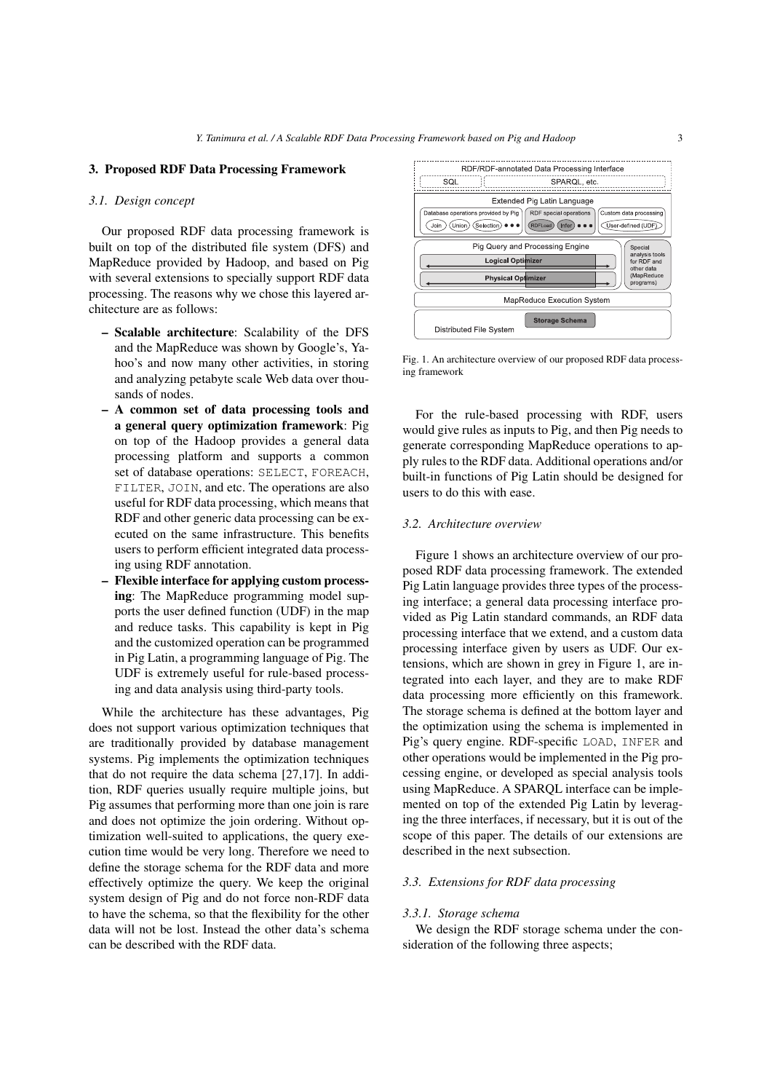## 3. Proposed RDF Data Processing Framework

#### *3.1. Design concept*

Our proposed RDF data processing framework is built on top of the distributed file system (DFS) and MapReduce provided by Hadoop, and based on Pig with several extensions to specially support RDF data processing. The reasons why we chose this layered architecture are as follows:

- Scalable architecture: Scalability of the DFS and the MapReduce was shown by Google's, Yahoo's and now many other activities, in storing and analyzing petabyte scale Web data over thousands of nodes.
- A common set of data processing tools and a general query optimization framework: Pig on top of the Hadoop provides a general data processing platform and supports a common set of database operations: SELECT, FOREACH, FILTER, JOIN, and etc. The operations are also useful for RDF data processing, which means that RDF and other generic data processing can be executed on the same infrastructure. This benefits users to perform efficient integrated data processing using RDF annotation.
- Flexible interface for applying custom processing: The MapReduce programming model supports the user defined function (UDF) in the map and reduce tasks. This capability is kept in Pig and the customized operation can be programmed in Pig Latin, a programming language of Pig. The UDF is extremely useful for rule-based processing and data analysis using third-party tools.

While the architecture has these advantages, Pig does not support various optimization techniques that are traditionally provided by database management systems. Pig implements the optimization techniques that do not require the data schema [27,17]. In addition, RDF queries usually require multiple joins, but Pig assumes that performing more than one join is rare and does not optimize the join ordering. Without optimization well-suited to applications, the query execution time would be very long. Therefore we need to define the storage schema for the RDF data and more effectively optimize the query. We keep the original system design of Pig and do not force non-RDF data to have the schema, so that the flexibility for the other data will not be lost. Instead the other data's schema can be described with the RDF data.



Fig. 1. An architecture overview of our proposed RDF data processing framework

For the rule-based processing with RDF, users would give rules as inputs to Pig, and then Pig needs to generate corresponding MapReduce operations to apply rules to the RDF data. Additional operations and/or built-in functions of Pig Latin should be designed for users to do this with ease.

# *3.2. Architecture overview*

Figure 1 shows an architecture overview of our proposed RDF data processing framework. The extended Pig Latin language provides three types of the processing interface; a general data processing interface provided as Pig Latin standard commands, an RDF data processing interface that we extend, and a custom data processing interface given by users as UDF. Our extensions, which are shown in grey in Figure 1, are integrated into each layer, and they are to make RDF data processing more efficiently on this framework. The storage schema is defined at the bottom layer and the optimization using the schema is implemented in Pig's query engine. RDF-specific LOAD, INFER and other operations would be implemented in the Pig processing engine, or developed as special analysis tools using MapReduce. A SPARQL interface can be implemented on top of the extended Pig Latin by leveraging the three interfaces, if necessary, but it is out of the scope of this paper. The details of our extensions are described in the next subsection.

## *3.3. Extensions for RDF data processing*

#### *3.3.1. Storage schema*

We design the RDF storage schema under the consideration of the following three aspects;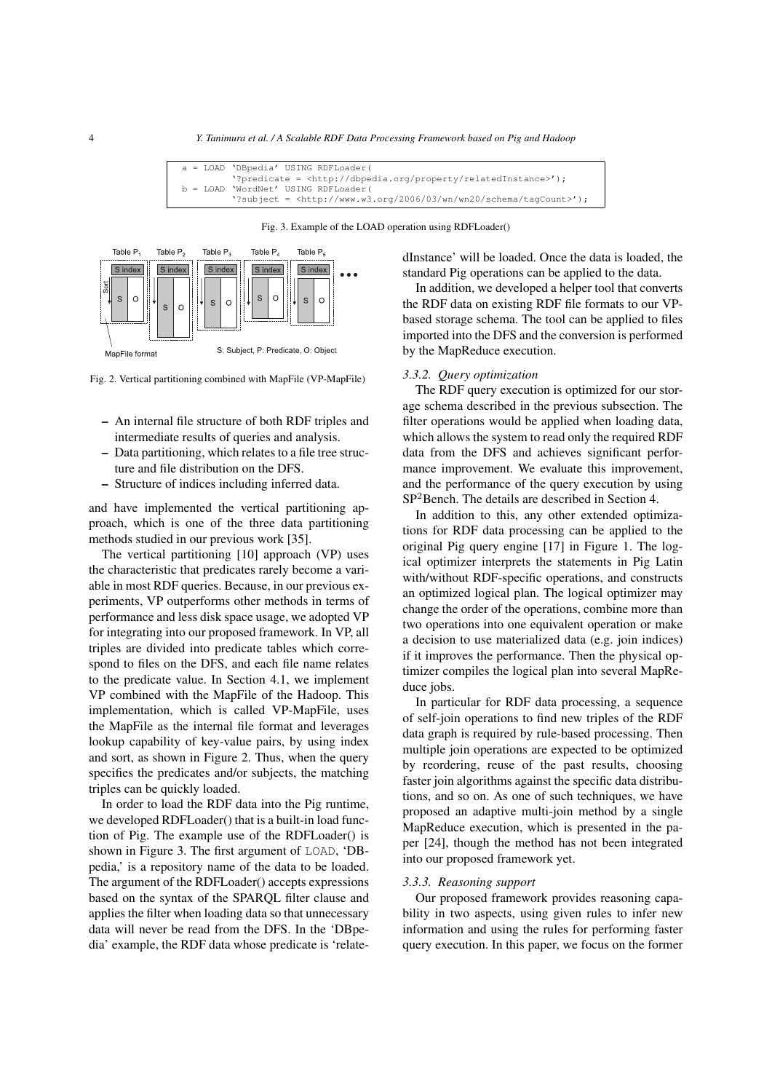| a = LOAD 'DBpedia' USING RDFLoader (                                                     |
|------------------------------------------------------------------------------------------|
| '?predicate = <http: dbpedia.org="" property="" relatedinstance="">');</http:>           |
| b = LOAD 'WordNet' USING RDFLoader(                                                      |
| '?subject = $\text{thtp:}/\text{/www.w3.org/2006/03/wn/wn20/schem}/\text{taqCount}>$ '); |

Fig. 3. Example of the LOAD operation using RDFLoader()



Fig. 2. Vertical partitioning combined with MapFile (VP-MapFile)

- An internal file structure of both RDF triples and intermediate results of queries and analysis.
- Data partitioning, which relates to a file tree structure and file distribution on the DFS.
- Structure of indices including inferred data.

and have implemented the vertical partitioning approach, which is one of the three data partitioning methods studied in our previous work [35].

The vertical partitioning [10] approach (VP) uses the characteristic that predicates rarely become a variable in most RDF queries. Because, in our previous experiments, VP outperforms other methods in terms of performance and less disk space usage, we adopted VP for integrating into our proposed framework. In VP, all triples are divided into predicate tables which correspond to files on the DFS, and each file name relates to the predicate value. In Section 4.1, we implement VP combined with the MapFile of the Hadoop. This implementation, which is called VP-MapFile, uses the MapFile as the internal file format and leverages lookup capability of key-value pairs, by using index and sort, as shown in Figure 2. Thus, when the query specifies the predicates and/or subjects, the matching triples can be quickly loaded.

In order to load the RDF data into the Pig runtime, we developed RDFLoader() that is a built-in load function of Pig. The example use of the RDFLoader() is shown in Figure 3. The first argument of LOAD, 'DBpedia,' is a repository name of the data to be loaded. The argument of the RDFLoader() accepts expressions based on the syntax of the SPARQL filter clause and applies the filter when loading data so that unnecessary data will never be read from the DFS. In the 'DBpedia' example, the RDF data whose predicate is 'relatedInstance' will be loaded. Once the data is loaded, the standard Pig operations can be applied to the data.

In addition, we developed a helper tool that converts the RDF data on existing RDF file formats to our VPbased storage schema. The tool can be applied to files imported into the DFS and the conversion is performed by the MapReduce execution.

# *3.3.2. Query optimization*

The RDF query execution is optimized for our storage schema described in the previous subsection. The filter operations would be applied when loading data, which allows the system to read only the required RDF data from the DFS and achieves significant performance improvement. We evaluate this improvement, and the performance of the query execution by using SP<sup>2</sup>Bench. The details are described in Section 4.

In addition to this, any other extended optimizations for RDF data processing can be applied to the original Pig query engine [17] in Figure 1. The logical optimizer interprets the statements in Pig Latin with/without RDF-specific operations, and constructs an optimized logical plan. The logical optimizer may change the order of the operations, combine more than two operations into one equivalent operation or make a decision to use materialized data (e.g. join indices) if it improves the performance. Then the physical optimizer compiles the logical plan into several MapReduce jobs.

In particular for RDF data processing, a sequence of self-join operations to find new triples of the RDF data graph is required by rule-based processing. Then multiple join operations are expected to be optimized by reordering, reuse of the past results, choosing faster join algorithms against the specific data distributions, and so on. As one of such techniques, we have proposed an adaptive multi-join method by a single MapReduce execution, which is presented in the paper [24], though the method has not been integrated into our proposed framework yet.

## *3.3.3. Reasoning support*

Our proposed framework provides reasoning capability in two aspects, using given rules to infer new information and using the rules for performing faster query execution. In this paper, we focus on the former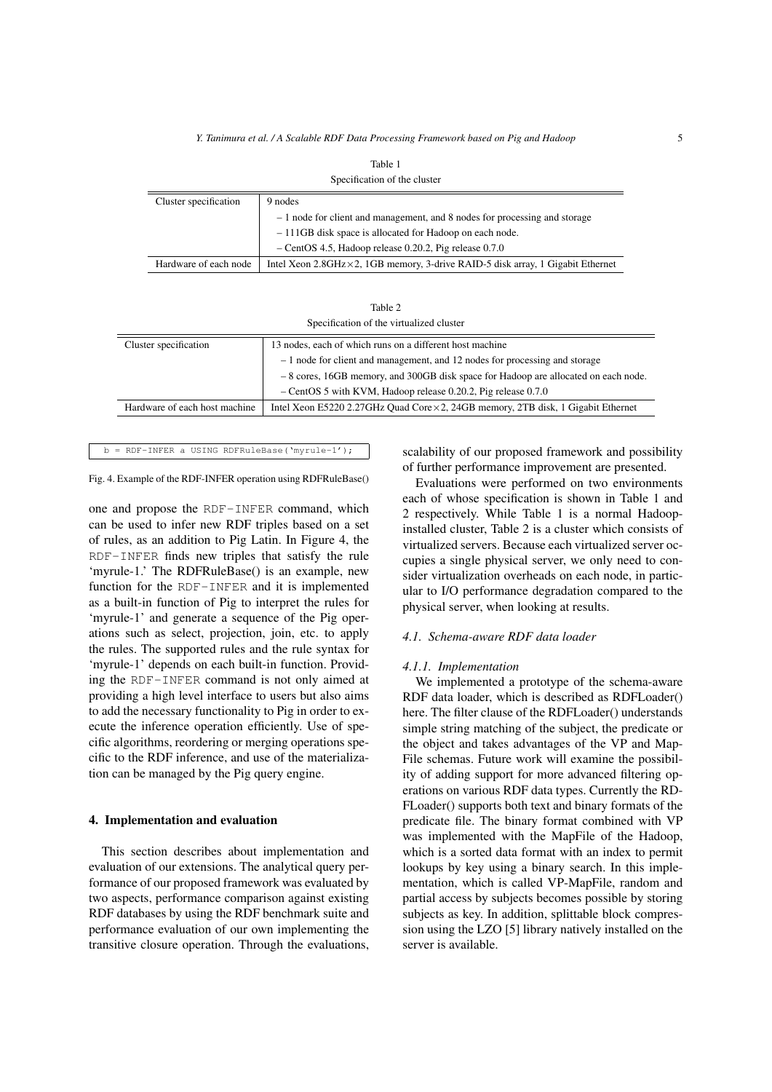| Specification of the cluster |                                                                                         |  |  |
|------------------------------|-----------------------------------------------------------------------------------------|--|--|
| Cluster specification        | 9 nodes                                                                                 |  |  |
|                              | $-1$ node for client and management, and 8 nodes for processing and storage             |  |  |
|                              | -111GB disk space is allocated for Hadoop on each node.                                 |  |  |
|                              | $-$ CentOS 4.5, Hadoop release 0.20.2, Pig release 0.7.0                                |  |  |
| Hardware of each node        | Intel Xeon 2.8GHz $\times$ 2, 1GB memory, 3-drive RAID-5 disk array, 1 Gigabit Ethernet |  |  |

| Table 2                                                                            |                                                                                          |  |  |
|------------------------------------------------------------------------------------|------------------------------------------------------------------------------------------|--|--|
| Specification of the virtualized cluster                                           |                                                                                          |  |  |
| Cluster specification                                                              | 13 nodes, each of which runs on a different host machine                                 |  |  |
| $-1$ node for client and management, and 12 nodes for processing and storage       |                                                                                          |  |  |
| -8 cores, 16GB memory, and 300GB disk space for Hadoop are allocated on each node. |                                                                                          |  |  |
|                                                                                    | $-$ Centos 5 with KVM, Hadoop release 0.20.2, Pig release 0.7.0                          |  |  |
| Hardware of each host machine                                                      | Intel Xeon E5220 2.27GHz Quad Core $\times$ 2, 24GB memory, 2TB disk, 1 Gigabit Ethernet |  |  |

# b = RDF-INFER a USING RDFRuleBase('myrule-1');

Fig. 4. Example of the RDF-INFER operation using RDFRuleBase()

one and propose the RDF-INFER command, which can be used to infer new RDF triples based on a set of rules, as an addition to Pig Latin. In Figure 4, the RDF-INFER finds new triples that satisfy the rule 'myrule-1.' The RDFRuleBase() is an example, new function for the RDF-INFER and it is implemented as a built-in function of Pig to interpret the rules for 'myrule-1' and generate a sequence of the Pig operations such as select, projection, join, etc. to apply the rules. The supported rules and the rule syntax for 'myrule-1' depends on each built-in function. Providing the RDF-INFER command is not only aimed at providing a high level interface to users but also aims to add the necessary functionality to Pig in order to execute the inference operation efficiently. Use of specific algorithms, reordering or merging operations specific to the RDF inference, and use of the materialization can be managed by the Pig query engine.

# 4. Implementation and evaluation

This section describes about implementation and evaluation of our extensions. The analytical query performance of our proposed framework was evaluated by two aspects, performance comparison against existing RDF databases by using the RDF benchmark suite and performance evaluation of our own implementing the transitive closure operation. Through the evaluations, scalability of our proposed framework and possibility of further performance improvement are presented.

Evaluations were performed on two environments each of whose specification is shown in Table 1 and 2 respectively. While Table 1 is a normal Hadoopinstalled cluster, Table 2 is a cluster which consists of virtualized servers. Because each virtualized server occupies a single physical server, we only need to consider virtualization overheads on each node, in particular to I/O performance degradation compared to the physical server, when looking at results.

# *4.1. Schema-aware RDF data loader*

#### *4.1.1. Implementation*

We implemented a prototype of the schema-aware RDF data loader, which is described as RDFLoader() here. The filter clause of the RDFLoader() understands simple string matching of the subject, the predicate or the object and takes advantages of the VP and Map-File schemas. Future work will examine the possibility of adding support for more advanced filtering operations on various RDF data types. Currently the RD-FLoader() supports both text and binary formats of the predicate file. The binary format combined with VP was implemented with the MapFile of the Hadoop, which is a sorted data format with an index to permit lookups by key using a binary search. In this implementation, which is called VP-MapFile, random and partial access by subjects becomes possible by storing subjects as key. In addition, splittable block compression using the LZO [5] library natively installed on the server is available.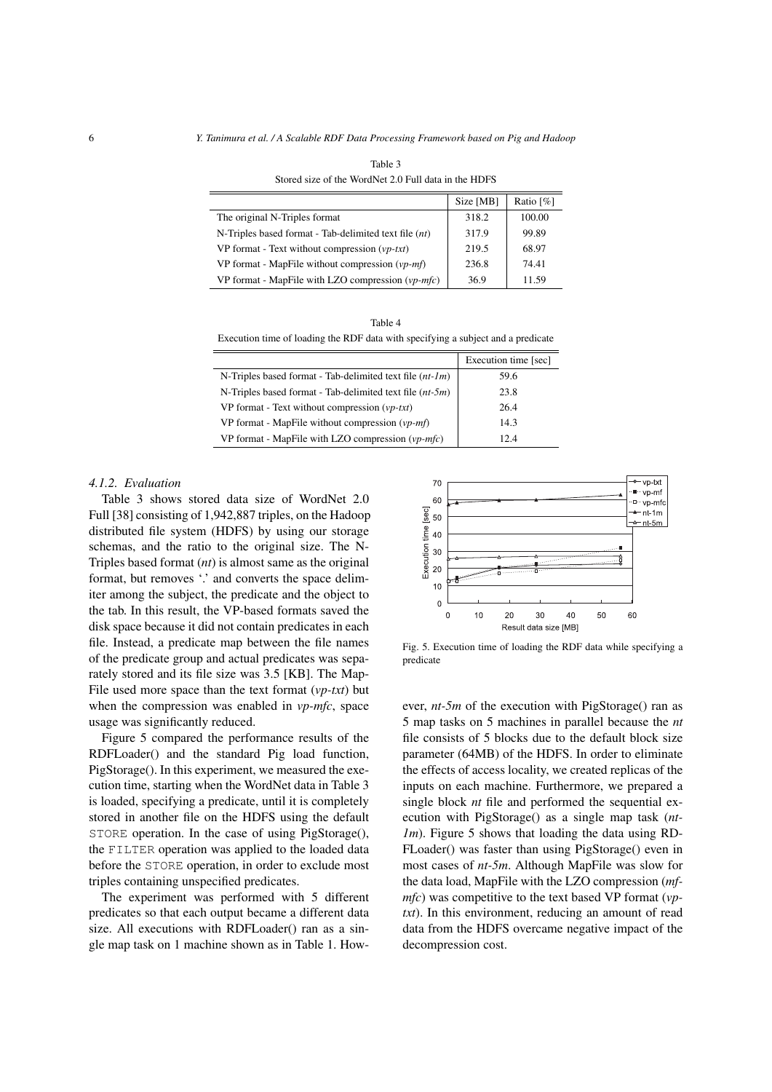|                                                            | Size [MB] | Ratio $\lceil \% \rceil$ |
|------------------------------------------------------------|-----------|--------------------------|
| The original N-Triples format                              | 318.2     | 100.00                   |
| N-Triples based format - Tab-delimited text file $(nt)$    | 317.9     | 99.89                    |
| VP format - Text without compression $(\nu p$ -txt)        | 219.5     | 68.97                    |
| VP format - MapFile without compression $(vp-mf)$          | 236.8     | 74.41                    |
| VP format - MapFile with LZO compression $(vp\text{-}mfc)$ | 36.9      | 11.59                    |

Table 3 Stored size of the WordNet 2.0 Full data in the HDFS

Table 4 Execution time of loading the RDF data with specifying a subject and a predicate

|                                                                              | Execution time [sec] |
|------------------------------------------------------------------------------|----------------------|
| N-Triples based format - Tab-delimited text file $(nt-1m)$                   | 59.6                 |
| N-Triples based format - Tab-delimited text file $(nt-5m)$                   | 23.8                 |
| VP format - Text without compression $(\nu p$ -txt)                          | 26.4                 |
| VP format - MapFile without compression $(vp-mf)$                            | 14.3                 |
| VP format - MapFile with LZO compression $(\nu p\text{-}m\text{-}f\text{c})$ | 12.4                 |

# *4.1.2. Evaluation*

Table 3 shows stored data size of WordNet 2.0 Full [38] consisting of 1,942,887 triples, on the Hadoop distributed file system (HDFS) by using our storage schemas, and the ratio to the original size. The N-Triples based format (*nt*) is almost same as the original format, but removes '.' and converts the space delimiter among the subject, the predicate and the object to the tab. In this result, the VP-based formats saved the disk space because it did not contain predicates in each file. Instead, a predicate map between the file names of the predicate group and actual predicates was separately stored and its file size was 3.5 [KB]. The Map-File used more space than the text format (*vp-txt*) but when the compression was enabled in *vp-mfc*, space usage was significantly reduced.

Figure 5 compared the performance results of the RDFLoader() and the standard Pig load function, PigStorage(). In this experiment, we measured the execution time, starting when the WordNet data in Table 3 is loaded, specifying a predicate, until it is completely stored in another file on the HDFS using the default STORE operation. In the case of using PigStorage(), the FILTER operation was applied to the loaded data before the STORE operation, in order to exclude most triples containing unspecified predicates.

The experiment was performed with 5 different predicates so that each output became a different data size. All executions with RDFLoader() ran as a single map task on 1 machine shown as in Table 1. How-



Fig. 5. Execution time of loading the RDF data while specifying a predicate

ever, *nt-5m* of the execution with PigStorage() ran as 5 map tasks on 5 machines in parallel because the *nt* file consists of 5 blocks due to the default block size parameter (64MB) of the HDFS. In order to eliminate the effects of access locality, we created replicas of the inputs on each machine. Furthermore, we prepared a single block *nt* file and performed the sequential execution with PigStorage() as a single map task (*ntlm*). Figure 5 shows that loading the data using RD-FLoader() was faster than using PigStorage() even in most cases of *nt-5m*. Although MapFile was slow for the data load, MapFile with the LZO compression (*mfmfc*) was competitive to the text based VP format (*vptxt*). In this environment, reducing an amount of read data from the HDFS overcame negative impact of the decompression cost.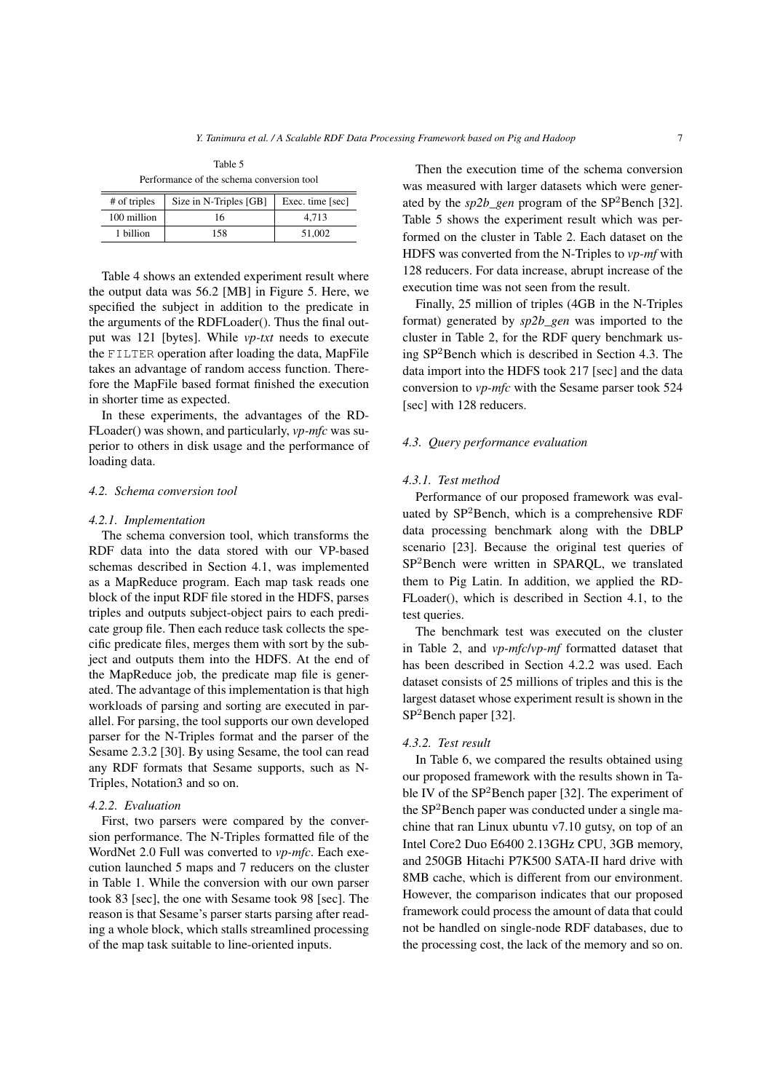| Performance of the schema conversion tool |                                                          |  |  |  |
|-------------------------------------------|----------------------------------------------------------|--|--|--|
|                                           | # of triples   Size in N-Triples [GB]   Exec. time [sec] |  |  |  |

Table 5

| # of triples | $\text{M2e}$ in N-1 riples $ \text{GB} $ | $Exec.$ $time$ $ sec $ |
|--------------|------------------------------------------|------------------------|
| 100 million  | 16                                       | 4.713                  |
| 1 billion    | 158                                      | 51,002                 |
|              |                                          |                        |

Table 4 shows an extended experiment result where the output data was 56.2 [MB] in Figure 5. Here, we specified the subject in addition to the predicate in the arguments of the RDFLoader(). Thus the final output was 121 [bytes]. While *vp-txt* needs to execute the FILTER operation after loading the data, MapFile takes an advantage of random access function. Therefore the MapFile based format finished the execution in shorter time as expected.

In these experiments, the advantages of the RD-FLoader() was shown, and particularly, *vp-mfc* was superior to others in disk usage and the performance of loading data.

# *4.2. Schema conversion tool*

#### *4.2.1. Implementation*

The schema conversion tool, which transforms the RDF data into the data stored with our VP-based schemas described in Section 4.1, was implemented as a MapReduce program. Each map task reads one block of the input RDF file stored in the HDFS, parses triples and outputs subject-object pairs to each predicate group file. Then each reduce task collects the specific predicate files, merges them with sort by the subject and outputs them into the HDFS. At the end of the MapReduce job, the predicate map file is generated. The advantage of this implementation is that high workloads of parsing and sorting are executed in parallel. For parsing, the tool supports our own developed parser for the N-Triples format and the parser of the Sesame 2.3.2 [30]. By using Sesame, the tool can read any RDF formats that Sesame supports, such as N-Triples, Notation3 and so on.

# *4.2.2. Evaluation*

First, two parsers were compared by the conversion performance. The N-Triples formatted file of the WordNet 2.0 Full was converted to *vp-mfc*. Each execution launched 5 maps and 7 reducers on the cluster in Table 1. While the conversion with our own parser took 83 [sec], the one with Sesame took 98 [sec]. The reason is that Sesame's parser starts parsing after reading a whole block, which stalls streamlined processing of the map task suitable to line-oriented inputs.

Then the execution time of the schema conversion was measured with larger datasets which were generated by the *sp2b\_gen* program of the SP<sup>2</sup>Bench [32]. Table 5 shows the experiment result which was performed on the cluster in Table 2. Each dataset on the HDFS was converted from the N-Triples to *vp-mf* with 128 reducers. For data increase, abrupt increase of the execution time was not seen from the result.

Finally, 25 million of triples (4GB in the N-Triples format) generated by *sp2b\_gen* was imported to the cluster in Table 2, for the RDF query benchmark using SP<sup>2</sup>Bench which is described in Section 4.3. The data import into the HDFS took 217 [sec] and the data conversion to *vp-mfc* with the Sesame parser took 524 [sec] with 128 reducers.

#### *4.3. Query performance evaluation*

# *4.3.1. Test method*

Performance of our proposed framework was evaluated by SP<sup>2</sup>Bench, which is a comprehensive RDF data processing benchmark along with the DBLP scenario [23]. Because the original test queries of SP<sup>2</sup>Bench were written in SPARQL, we translated them to Pig Latin. In addition, we applied the RD-FLoader(), which is described in Section 4.1, to the test queries.

The benchmark test was executed on the cluster in Table 2, and *vp-mfc*/*vp-mf* formatted dataset that has been described in Section 4.2.2 was used. Each dataset consists of 25 millions of triples and this is the largest dataset whose experiment result is shown in the SP<sup>2</sup>Bench paper [32].

#### *4.3.2. Test result*

In Table 6, we compared the results obtained using our proposed framework with the results shown in Table IV of the SP<sup>2</sup>Bench paper [32]. The experiment of the SP<sup>2</sup>Bench paper was conducted under a single machine that ran Linux ubuntu v7.10 gutsy, on top of an Intel Core2 Duo E6400 2.13GHz CPU, 3GB memory, and 250GB Hitachi P7K500 SATA-II hard drive with 8MB cache, which is different from our environment. However, the comparison indicates that our proposed framework could process the amount of data that could not be handled on single-node RDF databases, due to the processing cost, the lack of the memory and so on.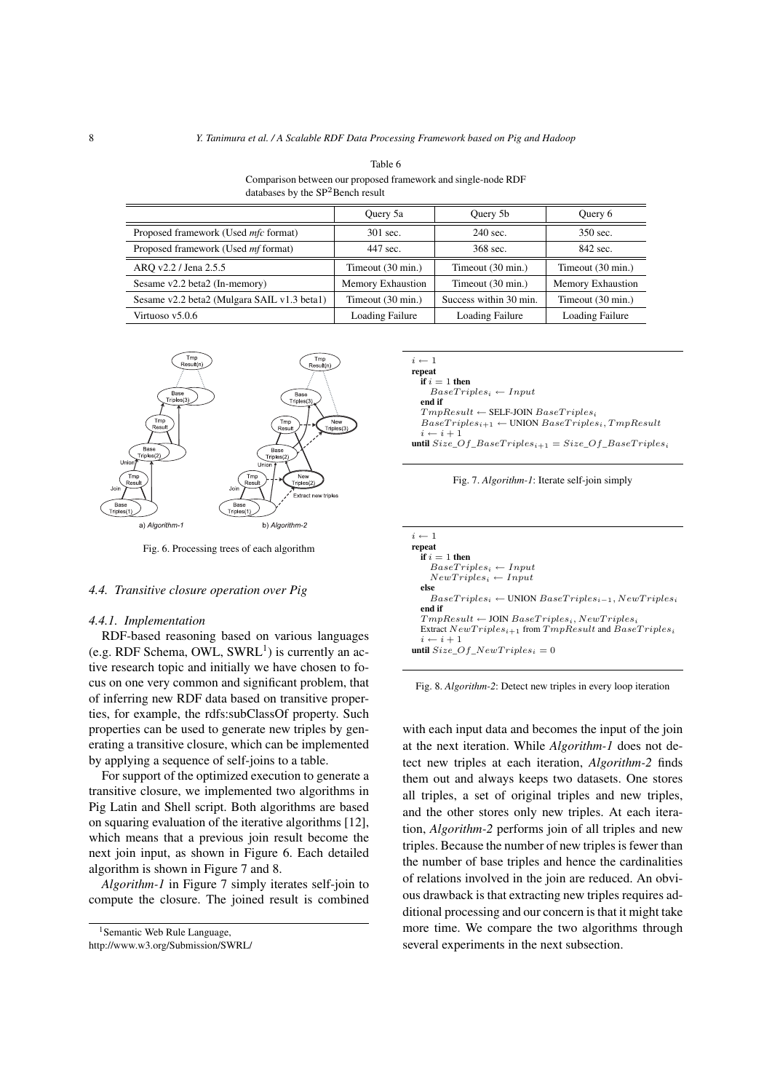| Table 6<br>Comparison between our proposed framework and single-node RDF<br>databases by the $SP2$ Bench result |                   |                   |                   |  |  |
|-----------------------------------------------------------------------------------------------------------------|-------------------|-------------------|-------------------|--|--|
|                                                                                                                 |                   |                   |                   |  |  |
| Proposed framework (Used <i>mfc</i> format)                                                                     | 301 sec.          | 240 sec.          | 350 sec.          |  |  |
| Proposed framework (Used <i>mf</i> format)                                                                      | 447 sec.          | 368 sec.          | 842 sec.          |  |  |
| ARO v2.2 / Jena 2.5.5                                                                                           | Timeout (30 min.) | Timeout (30 min.) | Timeout (30 min.) |  |  |

Sesame v2.2 beta2 (In-memory) Memory Exhaustion Timeout (30 min.) Memory Exhaustion Sesame v2.2 beta2 (Mulgara SAIL v1.3 beta1) Timeout (30 min.) Success within 30 min. Timeout (30 min.) Virtuoso v5.0.6 **Loading Failure** Loading Failure Loading Failure Loading Failure Loading Failure



Fig. 6. Processing trees of each algorithm

# *4.4. Transitive closure operation over Pig*

#### *4.4.1. Implementation*

RDF-based reasoning based on various languages  $(e.g. RDF Schema, OWL, SWRL<sup>1</sup>)$  is currently an active research topic and initially we have chosen to focus on one very common and significant problem, that of inferring new RDF data based on transitive properties, for example, the rdfs:subClassOf property. Such properties can be used to generate new triples by generating a transitive closure, which can be implemented by applying a sequence of self-joins to a table.

For support of the optimized execution to generate a transitive closure, we implemented two algorithms in Pig Latin and Shell script. Both algorithms are based on squaring evaluation of the iterative algorithms [12], which means that a previous join result become the next join input, as shown in Figure 6. Each detailed algorithm is shown in Figure 7 and 8.

*Algorithm-1* in Figure 7 simply iterates self-join to compute the closure. The joined result is combined

```
<sup>1</sup> Semantic Web Rule Language,
http://www.w3.org/Submission/SWRL/
```
*i ←* 1 repeat  $\hat{\textbf{i}}$  f  $i=1$  then  $Base Triplies<sub>i</sub> \leftarrow Input$ end if *TmpResult ←* SELF-JOIN *BaseT riples<sup>i</sup>*  $BaseTriples_{i+1} \leftarrow$  UNION  $BaseTriples_i$ ,  $TmpResult$  $- i + 1$ until  $Size\_Of\_BaseTriples_{i+1} = Size\_Of\_BaseTriples_i$ 



| $i \leftarrow 1$                                                      |
|-----------------------------------------------------------------------|
| repeat                                                                |
| if $i=1$ then                                                         |
| $BaseTriples_i \leftarrow Input$                                      |
| $NewTriples_i \leftarrow Input$                                       |
| else                                                                  |
| $BaseTriples_i \leftarrow$ UNION $BaseTriples_{i-1}$ , $NewTriples_i$ |
| end if                                                                |
| $TmpResult \leftarrow J0IN BaseTriples_i, NewTriples_i$               |
| Extract $NewTriples_{i+1}$ from $TmpResult$ and $BaseTriples_i$       |
| $i \leftarrow i + 1$                                                  |
| <b>until</b> Size Of NewTriples <sub>i</sub> = 0                      |
|                                                                       |

Fig. 8. *Algorithm-2*: Detect new triples in every loop iteration

with each input data and becomes the input of the join at the next iteration. While *Algorithm-1* does not detect new triples at each iteration, *Algorithm-2* finds them out and always keeps two datasets. One stores all triples, a set of original triples and new triples, and the other stores only new triples. At each iteration, *Algorithm-2* performs join of all triples and new triples. Because the number of new triples is fewer than the number of base triples and hence the cardinalities of relations involved in the join are reduced. An obvious drawback is that extracting new triples requires additional processing and our concern is that it might take more time. We compare the two algorithms through several experiments in the next subsection.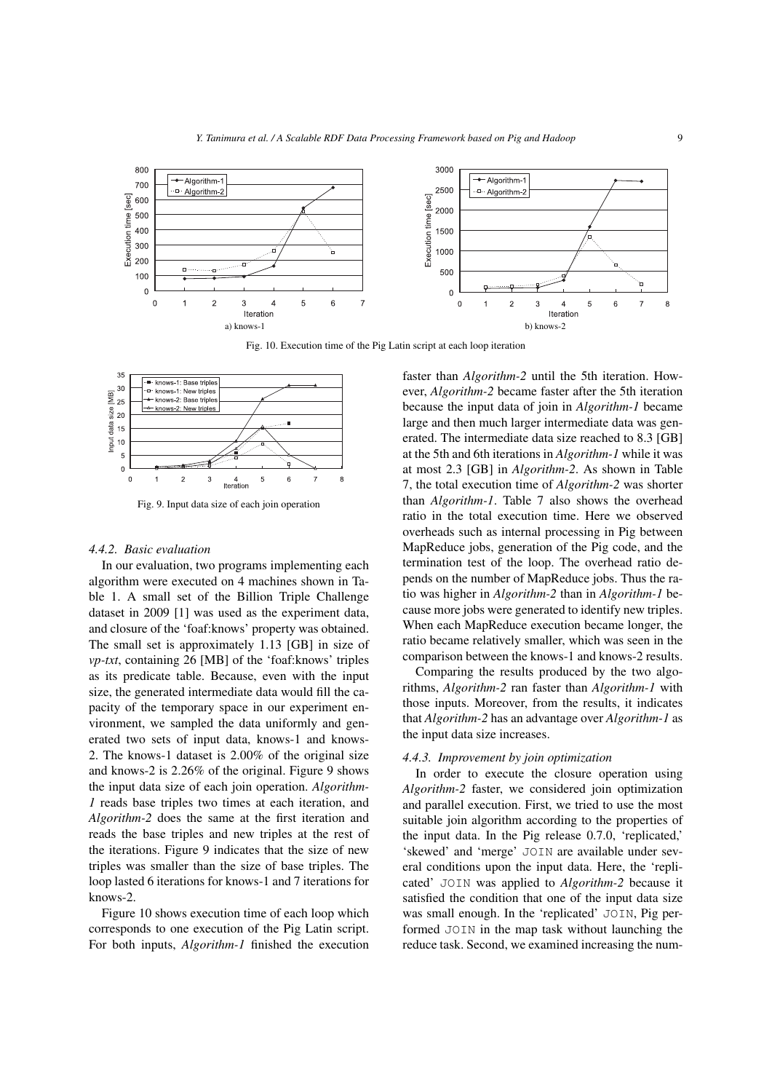

Fig. 10. Execution time of the Pig Latin script at each loop iteration



Fig. 9. Input data size of each join operation

# *4.4.2. Basic evaluation*

In our evaluation, two programs implementing each algorithm were executed on 4 machines shown in Table 1. A small set of the Billion Triple Challenge dataset in 2009 [1] was used as the experiment data, and closure of the 'foaf:knows' property was obtained. The small set is approximately 1.13 [GB] in size of *vp-txt*, containing 26 [MB] of the 'foaf:knows' triples as its predicate table. Because, even with the input size, the generated intermediate data would fill the capacity of the temporary space in our experiment environment, we sampled the data uniformly and generated two sets of input data, knows-1 and knows-2. The knows-1 dataset is 2.00% of the original size and knows-2 is 2.26% of the original. Figure 9 shows the input data size of each join operation. *Algorithm-1* reads base triples two times at each iteration, and *Algorithm-2* does the same at the first iteration and reads the base triples and new triples at the rest of the iterations. Figure 9 indicates that the size of new triples was smaller than the size of base triples. The loop lasted 6 iterations for knows-1 and 7 iterations for knows-2.

Figure 10 shows execution time of each loop which corresponds to one execution of the Pig Latin script. For both inputs, *Algorithm-1* finished the execution faster than *Algorithm-2* until the 5th iteration. However, *Algorithm-2* became faster after the 5th iteration because the input data of join in *Algorithm-1* became large and then much larger intermediate data was generated. The intermediate data size reached to 8.3 [GB] at the 5th and 6th iterations in *Algorithm-1* while it was at most 2.3 [GB] in *Algorithm-2*. As shown in Table 7, the total execution time of *Algorithm-2* was shorter than *Algorithm-1*. Table 7 also shows the overhead ratio in the total execution time. Here we observed overheads such as internal processing in Pig between MapReduce jobs, generation of the Pig code, and the termination test of the loop. The overhead ratio depends on the number of MapReduce jobs. Thus the ratio was higher in *Algorithm-2* than in *Algorithm-1* because more jobs were generated to identify new triples. When each MapReduce execution became longer, the ratio became relatively smaller, which was seen in the comparison between the knows-1 and knows-2 results.

Comparing the results produced by the two algorithms, *Algorithm-2* ran faster than *Algorithm-1* with those inputs. Moreover, from the results, it indicates that *Algorithm-2* has an advantage over *Algorithm-1* as the input data size increases.

# *4.4.3. Improvement by join optimization*

In order to execute the closure operation using *Algorithm-2* faster, we considered join optimization and parallel execution. First, we tried to use the most suitable join algorithm according to the properties of the input data. In the Pig release 0.7.0, 'replicated,' 'skewed' and 'merge' JOIN are available under several conditions upon the input data. Here, the 'replicated' JOIN was applied to *Algorithm-2* because it satisfied the condition that one of the input data size was small enough. In the 'replicated' JOIN, Pig performed JOIN in the map task without launching the reduce task. Second, we examined increasing the num-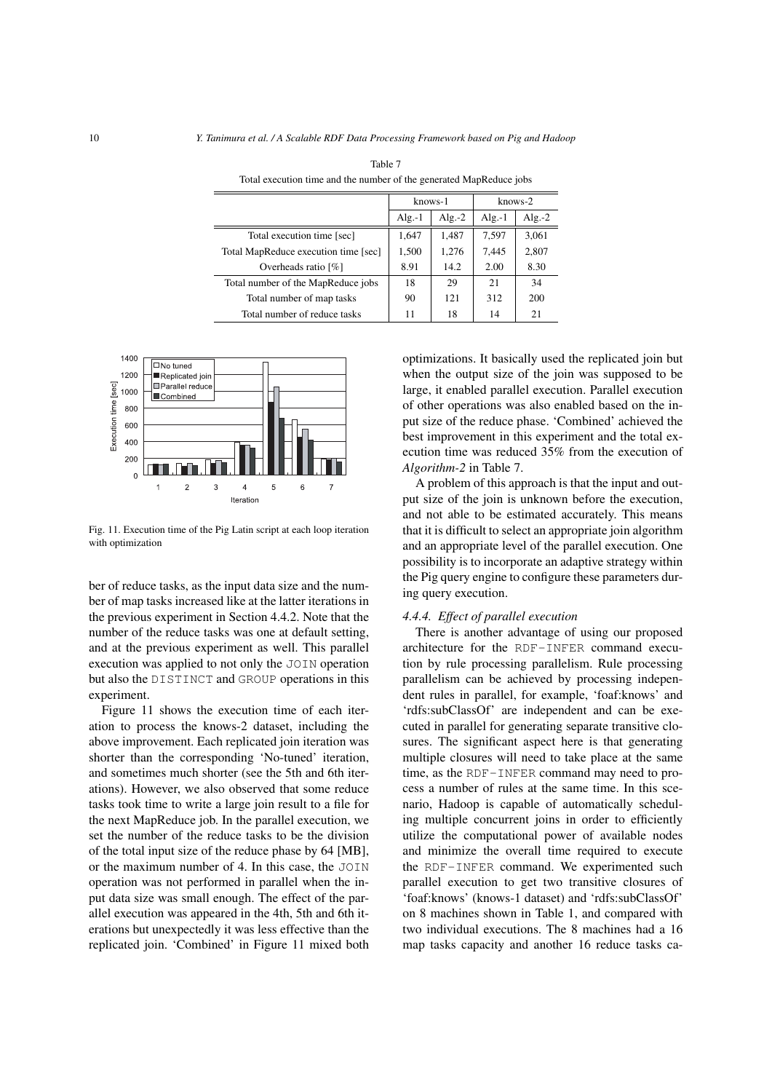|                                      | knows-1   |           | $k$ nows- $2$ |           |
|--------------------------------------|-----------|-----------|---------------|-----------|
|                                      | Alg.- $1$ | Alg.- $2$ | $Alg.-1$      | Alg.- $2$ |
| Total execution time [sec]           | 1,647     | 1,487     | 7,597         | 3,061     |
| Total MapReduce execution time [sec] | 1,500     | 1,276     | 7,445         | 2,807     |
| Overheads ratio [%]                  | 8.91      | 14.2      | 2.00          | 8.30      |
| Total number of the MapReduce jobs   | 18        | 29        | 21            | 34        |
| Total number of map tasks            | 90        | 121       | 312           | 200       |
| Total number of reduce tasks         | 11        | 18        | 14            | 21        |

Table 7 Total execution time and the number of the generated MapReduce jobs



ł,

ł,

Fig. 11. Execution time of the Pig Latin script at each loop iteration with optimization

ber of reduce tasks, as the input data size and the number of map tasks increased like at the latter iterations in the previous experiment in Section 4.4.2. Note that the number of the reduce tasks was one at default setting, and at the previous experiment as well. This parallel execution was applied to not only the JOIN operation but also the DISTINCT and GROUP operations in this experiment.

Figure 11 shows the execution time of each iteration to process the knows-2 dataset, including the above improvement. Each replicated join iteration was shorter than the corresponding 'No-tuned' iteration, and sometimes much shorter (see the 5th and 6th iterations). However, we also observed that some reduce tasks took time to write a large join result to a file for the next MapReduce job. In the parallel execution, we set the number of the reduce tasks to be the division of the total input size of the reduce phase by 64 [MB], or the maximum number of 4. In this case, the JOIN operation was not performed in parallel when the input data size was small enough. The effect of the parallel execution was appeared in the 4th, 5th and 6th iterations but unexpectedly it was less effective than the replicated join. 'Combined' in Figure 11 mixed both optimizations. It basically used the replicated join but when the output size of the join was supposed to be large, it enabled parallel execution. Parallel execution of other operations was also enabled based on the input size of the reduce phase. 'Combined' achieved the best improvement in this experiment and the total execution time was reduced 35% from the execution of *Algorithm-2* in Table 7.

A problem of this approach is that the input and output size of the join is unknown before the execution, and not able to be estimated accurately. This means that it is difficult to select an appropriate join algorithm and an appropriate level of the parallel execution. One possibility is to incorporate an adaptive strategy within the Pig query engine to configure these parameters during query execution.

# *4.4.4. Effect of parallel execution*

There is another advantage of using our proposed architecture for the RDF-INFER command execution by rule processing parallelism. Rule processing parallelism can be achieved by processing independent rules in parallel, for example, 'foaf:knows' and 'rdfs:subClassOf' are independent and can be executed in parallel for generating separate transitive closures. The significant aspect here is that generating multiple closures will need to take place at the same time, as the RDF-INFER command may need to process a number of rules at the same time. In this scenario, Hadoop is capable of automatically scheduling multiple concurrent joins in order to efficiently utilize the computational power of available nodes and minimize the overall time required to execute the RDF-INFER command. We experimented such parallel execution to get two transitive closures of 'foaf:knows' (knows-1 dataset) and 'rdfs:subClassOf' on 8 machines shown in Table 1, and compared with two individual executions. The 8 machines had a 16 map tasks capacity and another 16 reduce tasks ca-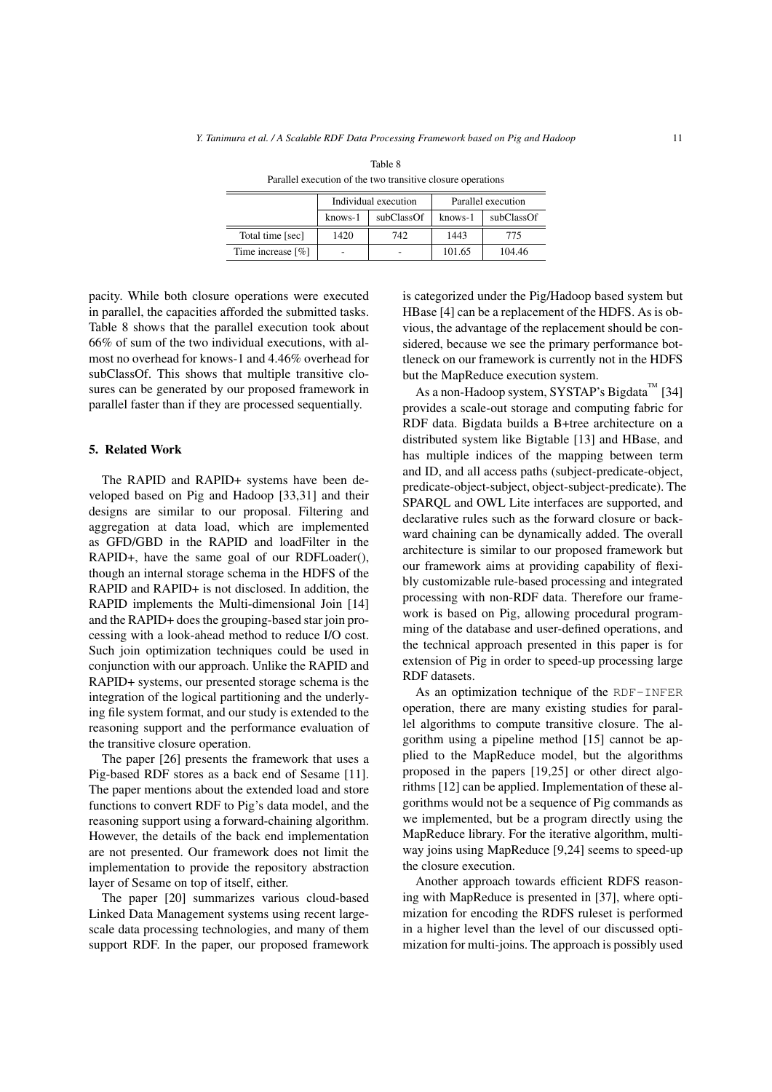|                                  | Individual execution |            | Parallel execution |            |  |
|----------------------------------|----------------------|------------|--------------------|------------|--|
|                                  | knows-1              | subClassOf | knows-1            | subClassOf |  |
| Total time [sec]                 | 1420                 | 742        | 1443               | 775        |  |
| Time increase $\lceil \% \rceil$ |                      |            | 101.65             | 104.46     |  |

Table 8 Parallel execution of the two transitive closure operations

pacity. While both closure operations were executed in parallel, the capacities afforded the submitted tasks. Table 8 shows that the parallel execution took about 66% of sum of the two individual executions, with almost no overhead for knows-1 and 4.46% overhead for subClassOf. This shows that multiple transitive closures can be generated by our proposed framework in parallel faster than if they are processed sequentially.

# 5. Related Work

The RAPID and RAPID+ systems have been developed based on Pig and Hadoop [33,31] and their designs are similar to our proposal. Filtering and aggregation at data load, which are implemented as GFD/GBD in the RAPID and loadFilter in the RAPID+, have the same goal of our RDFLoader(), though an internal storage schema in the HDFS of the RAPID and RAPID+ is not disclosed. In addition, the RAPID implements the Multi-dimensional Join [14] and the RAPID+ does the grouping-based star join processing with a look-ahead method to reduce I/O cost. Such join optimization techniques could be used in conjunction with our approach. Unlike the RAPID and RAPID+ systems, our presented storage schema is the integration of the logical partitioning and the underlying file system format, and our study is extended to the reasoning support and the performance evaluation of the transitive closure operation.

The paper [26] presents the framework that uses a Pig-based RDF stores as a back end of Sesame [11]. The paper mentions about the extended load and store functions to convert RDF to Pig's data model, and the reasoning support using a forward-chaining algorithm. However, the details of the back end implementation are not presented. Our framework does not limit the implementation to provide the repository abstraction layer of Sesame on top of itself, either.

The paper [20] summarizes various cloud-based Linked Data Management systems using recent largescale data processing technologies, and many of them support RDF. In the paper, our proposed framework is categorized under the Pig/Hadoop based system but HBase [4] can be a replacement of the HDFS. As is obvious, the advantage of the replacement should be considered, because we see the primary performance bottleneck on our framework is currently not in the HDFS but the MapReduce execution system.

As a non-Hadoop system, SYSTAP's Bigdata<sup>TM</sup> [34] provides a scale-out storage and computing fabric for RDF data. Bigdata builds a B+tree architecture on a distributed system like Bigtable [13] and HBase, and has multiple indices of the mapping between term and ID, and all access paths (subject-predicate-object, predicate-object-subject, object-subject-predicate). The SPARQL and OWL Lite interfaces are supported, and declarative rules such as the forward closure or backward chaining can be dynamically added. The overall architecture is similar to our proposed framework but our framework aims at providing capability of flexibly customizable rule-based processing and integrated processing with non-RDF data. Therefore our framework is based on Pig, allowing procedural programming of the database and user-defined operations, and the technical approach presented in this paper is for extension of Pig in order to speed-up processing large RDF datasets.

As an optimization technique of the RDF-INFER operation, there are many existing studies for parallel algorithms to compute transitive closure. The algorithm using a pipeline method [15] cannot be applied to the MapReduce model, but the algorithms proposed in the papers [19,25] or other direct algorithms [12] can be applied. Implementation of these algorithms would not be a sequence of Pig commands as we implemented, but be a program directly using the MapReduce library. For the iterative algorithm, multiway joins using MapReduce [9,24] seems to speed-up the closure execution.

Another approach towards efficient RDFS reasoning with MapReduce is presented in [37], where optimization for encoding the RDFS ruleset is performed in a higher level than the level of our discussed optimization for multi-joins. The approach is possibly used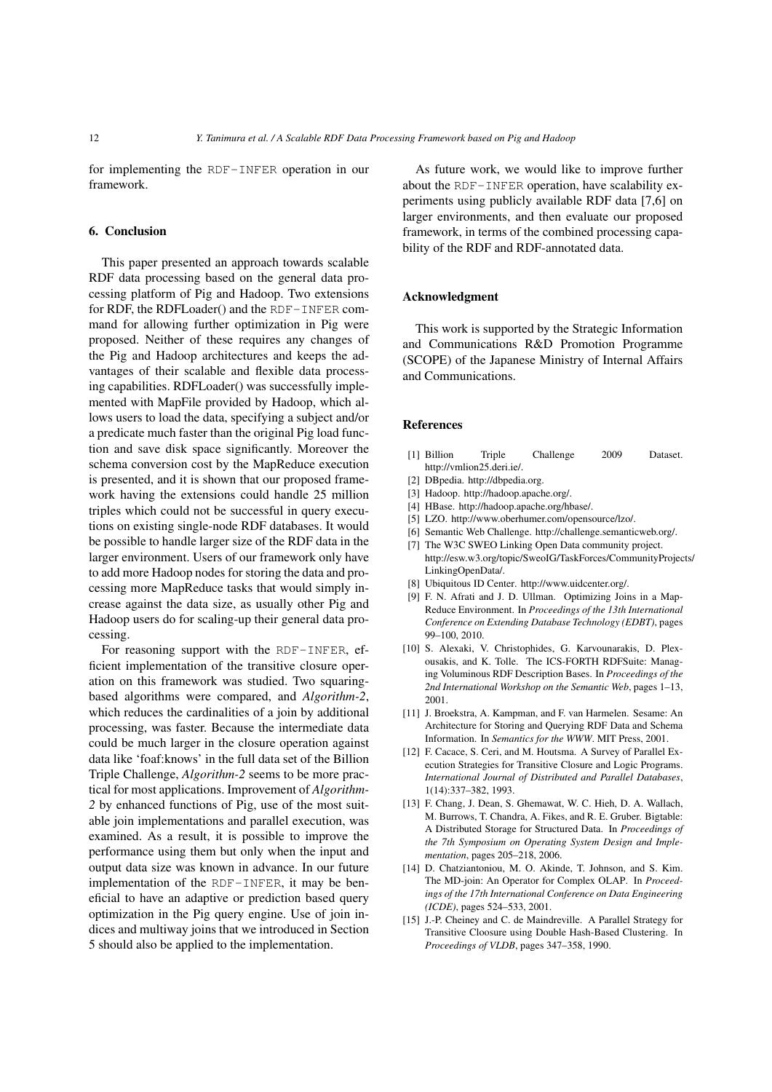for implementing the RDF-INFER operation in our framework.

# 6. Conclusion

This paper presented an approach towards scalable RDF data processing based on the general data processing platform of Pig and Hadoop. Two extensions for RDF, the RDFLoader() and the RDF-INFER command for allowing further optimization in Pig were proposed. Neither of these requires any changes of the Pig and Hadoop architectures and keeps the advantages of their scalable and flexible data processing capabilities. RDFLoader() was successfully implemented with MapFile provided by Hadoop, which allows users to load the data, specifying a subject and/or a predicate much faster than the original Pig load function and save disk space significantly. Moreover the schema conversion cost by the MapReduce execution is presented, and it is shown that our proposed framework having the extensions could handle 25 million triples which could not be successful in query executions on existing single-node RDF databases. It would be possible to handle larger size of the RDF data in the larger environment. Users of our framework only have to add more Hadoop nodes for storing the data and processing more MapReduce tasks that would simply increase against the data size, as usually other Pig and Hadoop users do for scaling-up their general data processing.

For reasoning support with the RDF-INFER, efficient implementation of the transitive closure operation on this framework was studied. Two squaringbased algorithms were compared, and *Algorithm-2*, which reduces the cardinalities of a join by additional processing, was faster. Because the intermediate data could be much larger in the closure operation against data like 'foaf:knows' in the full data set of the Billion Triple Challenge, *Algorithm-2* seems to be more practical for most applications. Improvement of *Algorithm-2* by enhanced functions of Pig, use of the most suitable join implementations and parallel execution, was examined. As a result, it is possible to improve the performance using them but only when the input and output data size was known in advance. In our future implementation of the RDF-INFER, it may be beneficial to have an adaptive or prediction based query optimization in the Pig query engine. Use of join indices and multiway joins that we introduced in Section 5 should also be applied to the implementation.

As future work, we would like to improve further about the RDF-INFER operation, have scalability experiments using publicly available RDF data [7,6] on larger environments, and then evaluate our proposed framework, in terms of the combined processing capability of the RDF and RDF-annotated data.

#### Acknowledgment

This work is supported by the Strategic Information and Communications R&D Promotion Programme (SCOPE) of the Japanese Ministry of Internal Affairs and Communications.

#### References

- [1] Billion Triple Challenge 2009 Dataset. http://vmlion25.deri.ie/.
- [2] DBpedia. http://dbpedia.org.
- [3] Hadoop. http://hadoop.apache.org/.
- [4] HBase. http://hadoop.apache.org/hbase/.
- [5] LZO. http://www.oberhumer.com/opensource/lzo/.
- [6] Semantic Web Challenge. http://challenge.semanticweb.org/.
- [7] The W3C SWEO Linking Open Data community project. http://esw.w3.org/topic/SweoIG/TaskForces/CommunityProjects/ LinkingOpenData/.
- [8] Ubiquitous ID Center. http://www.uidcenter.org/.
- [9] F. N. Afrati and J. D. Ullman. Optimizing Joins in a Map-Reduce Environment. In *Proceedings of the 13th International Conference on Extending Database Technology (EDBT)*, pages 99–100, 2010.
- [10] S. Alexaki, V. Christophides, G. Karvounarakis, D. Plexousakis, and K. Tolle. The ICS-FORTH RDFSuite: Managing Voluminous RDF Description Bases. In *Proceedings of the 2nd International Workshop on the Semantic Web*, pages 1–13, 2001.
- [11] J. Broekstra, A. Kampman, and F. van Harmelen. Sesame: An Architecture for Storing and Querying RDF Data and Schema Information. In *Semantics for the WWW*. MIT Press, 2001.
- [12] F. Cacace, S. Ceri, and M. Houtsma. A Survey of Parallel Execution Strategies for Transitive Closure and Logic Programs. *International Journal of Distributed and Parallel Databases*, 1(14):337–382, 1993.
- [13] F. Chang, J. Dean, S. Ghemawat, W. C. Hieh, D. A. Wallach, M. Burrows, T. Chandra, A. Fikes, and R. E. Gruber. Bigtable: A Distributed Storage for Structured Data. In *Proceedings of the 7th Symposium on Operating System Design and Implementation*, pages 205–218, 2006.
- [14] D. Chatziantoniou, M. O. Akinde, T. Johnson, and S. Kim. The MD-join: An Operator for Complex OLAP. In *Proceedings of the 17th International Conference on Data Engineering (ICDE)*, pages 524–533, 2001.
- [15] J.-P. Cheiney and C. de Maindreville. A Parallel Strategy for Transitive Cloosure using Double Hash-Based Clustering. In *Proceedings of VLDB*, pages 347–358, 1990.